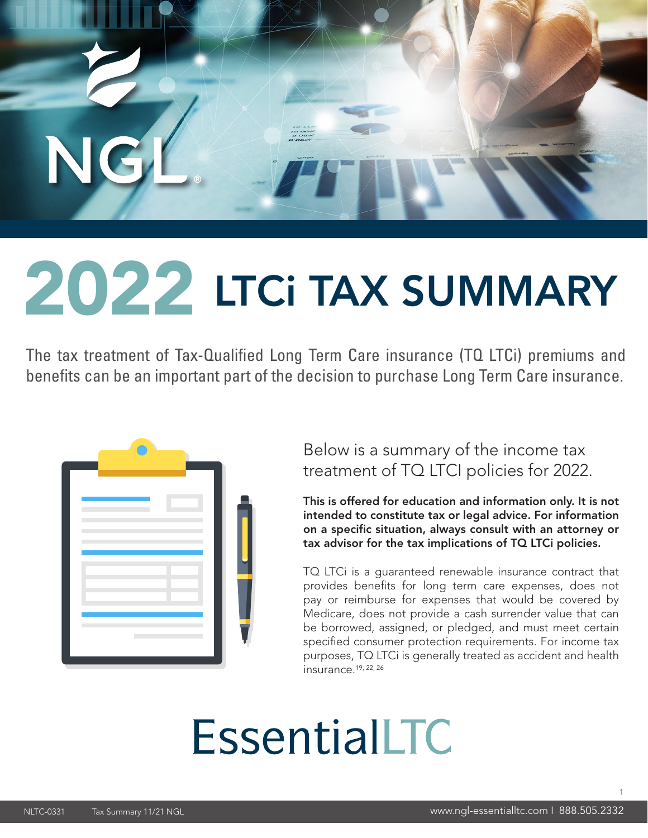

# 2022 LTCi TAX SUMMARY

The tax treatment of Tax-Qualified Long Term Care insurance (TQ LTCi) premiums and benefits can be an important part of the decision to purchase Long Term Care insurance.



Below is a summary of the income tax treatment of TQ LTCI policies for 2022.

This is offered for education and information only. It is not intended to constitute tax or legal advice. For information on a specific situation, always consult with an attorney or tax advisor for the tax implications of TQ LTCi policies.

TQ LTCi is a guaranteed renewable insurance contract that provides benefits for long term care expenses, does not pay or reimburse for expenses that would be covered by Medicare, does not provide a cash surrender value that can be borrowed, assigned, or pledged, and must meet certain specified consumer protection requirements. For income tax purposes, TQ LTCi is generally treated as accident and health insurance.19, 22, 26

# **EssentialLTC**

1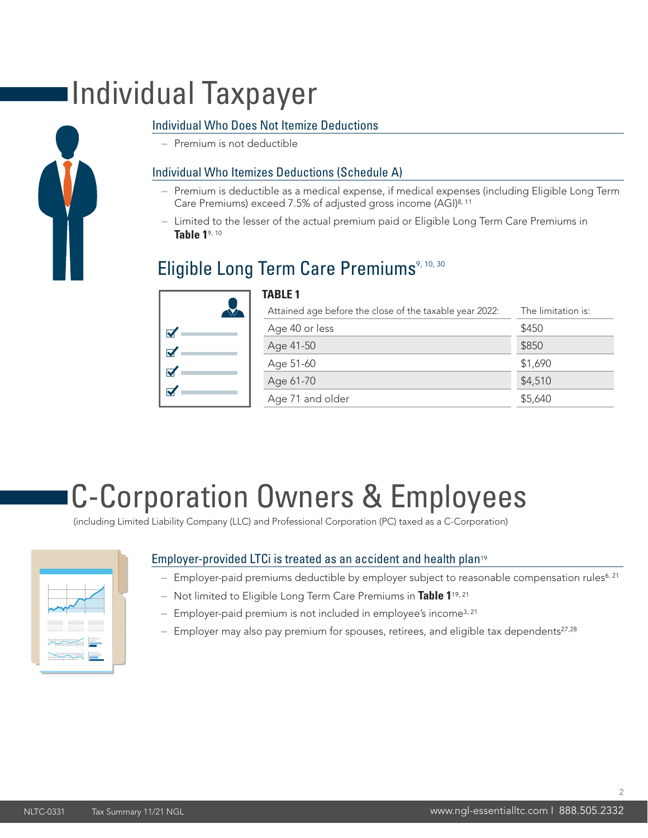### Individual Taxpayer



– Premium is not deductible

#### Individual Who Itemizes Deductions (Schedule A)

- Premium is deductible as a medical expense, if medical expenses (including Eligible Long Term Care Premiums) exceed 7.5% of adjusted gross income (AGI)8, 11
- Limited to the lesser of the actual premium paid or Eligible Long Term Care Premiums in **Table 1**9, 10

### Eligible Long Term Care Premiums<sup>9, 10, 30</sup>

**TABLE 1**

| $\blacktriangledown$ |   |
|----------------------|---|
| $\blacktriangledown$ |   |
| $\blacktriangledown$ | ۰ |
| $\blacktriangledown$ |   |
|                      |   |

| Attained age before the close of the taxable year 2022: | The limitation is: |  |
|---------------------------------------------------------|--------------------|--|
| Age 40 or less                                          | \$450              |  |
| Age 41-50                                               | \$850              |  |
| Age 51-60                                               | \$1,690            |  |
| Age 61-70                                               | \$4,510            |  |
| Age 71 and older                                        | \$5,640            |  |
|                                                         |                    |  |

### C-Corporation Owners & Employees

(including Limited Liability Company (LLC) and Professional Corporation (PC) taxed as a C-Corporation)



#### Employer-provided LTCi is treated as an accident and health plan<sup>19</sup>

- Employer-paid premiums deductible by employer subject to reasonable compensation rules<sup>6, 21</sup>
- Not limited to Eligible Long Term Care Premiums in **Table 1**19, 21
- Employer-paid premium is not included in employee's income3, 21
- $-$  Employer may also pay premium for spouses, retirees, and eligible tax dependents<sup>27,28</sup>

 $\overline{2}$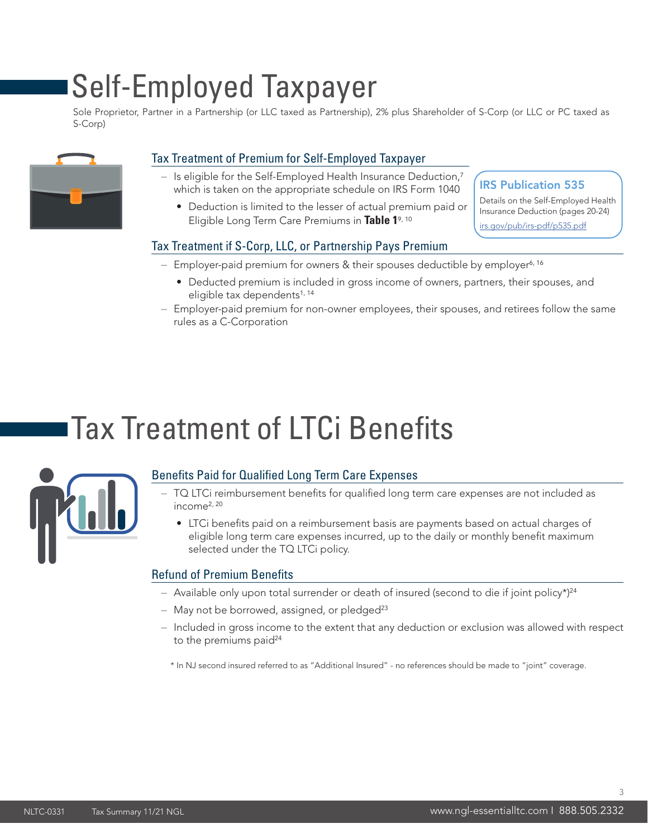### Self-Employed Taxpayer

Sole Proprietor, Partner in a Partnership (or LLC taxed as Partnership), 2% plus Shareholder of S-Corp (or LLC or PC taxed as S-Corp)



#### Tax Treatment of Premium for Self-Employed Taxpayer

- Is eligible for the Self-Employed Health Insurance Deduction,<sup>7</sup> which is taken on the appropriate schedule on IRS Form 1040
	- Deduction is limited to the lesser of actual premium paid or Eligible Long Term Care Premiums in **Table 1**9, 10

#### IRS Publication 535

Details on the Self-Employed Health Insurance Deduction (pages 20-24) irs.gov/pub/irs-pdf/p535.pdf

#### Tax Treatment if S-Corp, LLC, or Partnership Pays Premium

- $-$  Employer-paid premium for owners & their spouses deductible by employer<sup>6, 16</sup>
	- Deducted premium is included in gross income of owners, partners, their spouses, and eligible tax dependents<sup>1, 14</sup>
- Employer-paid premium for non-owner employees, their spouses, and retirees follow the same rules as a C-Corporation

### Tax Treatment of LTCi Benefits



#### Benefits Paid for Qualified Long Term Care Expenses

- TQ LTCi reimbursement benefits for qualified long term care expenses are not included as income2, 20
	- LTCi benefits paid on a reimbursement basis are payments based on actual charges of eligible long term care expenses incurred, up to the daily or monthly benefit maximum selected under the TQ LTCi policy.

#### Refund of Premium Benefits

- Available only upon total surrender or death of insured (second to die if joint policy\*)<sup>24</sup>
- $-$  May not be borrowed, assigned, or pledged<sup>23</sup>
- Included in gross income to the extent that any deduction or exclusion was allowed with respect to the premiums paid<sup>24</sup>

\* In NJ second insured referred to as "Additional Insured" - no references should be made to "joint" coverage.

3